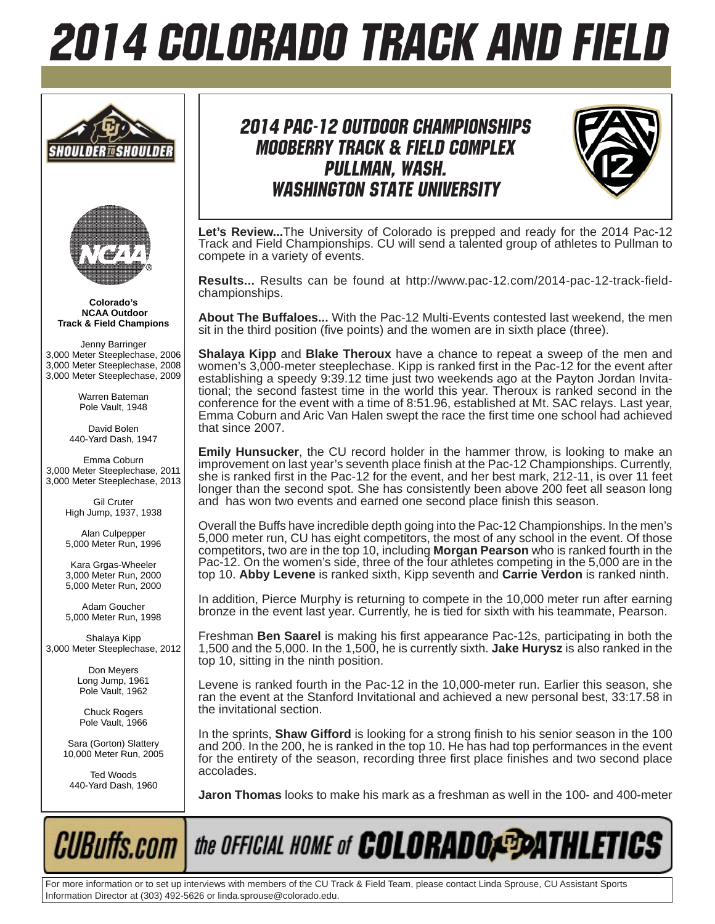# 2014 COLORADO TRACK AND FIELD





**Colorado's NCAA Outdoor Track & Field Champions**

Jenny Barringer 3,000 Meter Steeplechase, 2006 3,000 Meter Steeplechase, 2008 3,000 Meter Steeplechase, 2009

> Warren Bateman Pole Vault, 1948

David Bolen 440-Yard Dash, 1947

Emma Coburn 3,000 Meter Steeplechase, 2011 3,000 Meter Steeplechase, 2013

> Gil Cruter High Jump, 1937, 1938

Alan Culpepper 5,000 Meter Run, 1996

Kara Grgas-Wheeler 3,000 Meter Run, 2000 5,000 Meter Run, 2000

Adam Goucher 5,000 Meter Run, 1998

Shalaya Kipp 3,000 Meter Steeplechase, 2012

> Don Meyers Long Jump, 1961 Pole Vault, 1962

Chuck Rogers Pole Vault, 1966

Sara (Gorton) Slattery 10,000 Meter Run, 2005

Ted Woods 440-Yard Dash, 1960

### 2014 Pac-12 OUtdoor Championships Mooberry Track & Field Complex Pullman, Wash. Washington State University



**Let's Review...**The University of Colorado is prepped and ready for the 2014 Pac-12 Track and Field Championships. CU will send a talented group of athletes to Pullman to compete in a variety of events.

**Results...** Results can be found at http://www.pac-12.com/2014-pac-12-track-fieldchampionships.

**About The Buffaloes...** With the Pac-12 Multi-Events contested last weekend, the men sit in the third position (five points) and the women are in sixth place (three).

**Shalaya Kipp** and **Blake Theroux** have a chance to repeat a sweep of the men and women's 3,000-meter steeplechase. Kipp is ranked first in the Pac-12 for the event after establishing a speedy 9:39.12 time just two weekends ago at the Payton Jordan Invitational; the second fastest time in the world this year. Theroux is ranked second in the conference for the event with a time of 8:51.96, established at Mt. SAC relays. Last year, Emma Coburn and Aric Van Halen swept the race the first time one school had achieved that since 2007.

**Emily Hunsucker**, the CU record holder in the hammer throw, is looking to make an improvement on last year's seventh place finish at the Pac-12 Championships. Currently, she is ranked first in the Pac-12 for the event, and her best mark, 212-11, is over 11 feet longer than the second spot. She has consistently been above 200 feet all season long and has won two events and earned one second place finish this season.

Overall the Buffs have incredible depth going into the Pac-12 Championships. In the men's 5,000 meter run, CU has eight competitors, the most of any school in the event. Of those competitors, two are in the top 10, including **Morgan Pearson** who is ranked fourth in the Pac-12. On the women's side, three of the four athletes competing in the 5,000 are in the top 10. **Abby Levene** is ranked sixth, Kipp seventh and **Carrie Verdon** is ranked ninth.

In addition, Pierce Murphy is returning to compete in the 10,000 meter run after earning bronze in the event last year. Currently, he is tied for sixth with his teammate, Pearson.

Freshman **Ben Saarel** is making his first appearance Pac-12s, participating in both the 1,500 and the 5,000. In the 1,500, he is currently sixth. **Jake Hurysz** is also ranked in the top 10, sitting in the ninth position.

Levene is ranked fourth in the Pac-12 in the 10,000-meter run. Earlier this season, she ran the event at the Stanford Invitational and achieved a new personal best, 33:17.58 in the invitational section.

In the sprints, **Shaw Gifford** is looking for a strong finish to his senior season in the 100 and 200. In the 200, he is ranked in the top 10. He has had top performances in the event for the entirety of the season, recording three first place finishes and two second place accolades.

**Jaron Thomas** looks to make his mark as a freshman as well in the 100- and 400-meter



For more information or to set up interviews with members of the CU Track & Field Team, please contact Linda Sprouse, CU Assistant Sports Information Director at (303) 492-5626 or linda.sprouse@colorado.edu.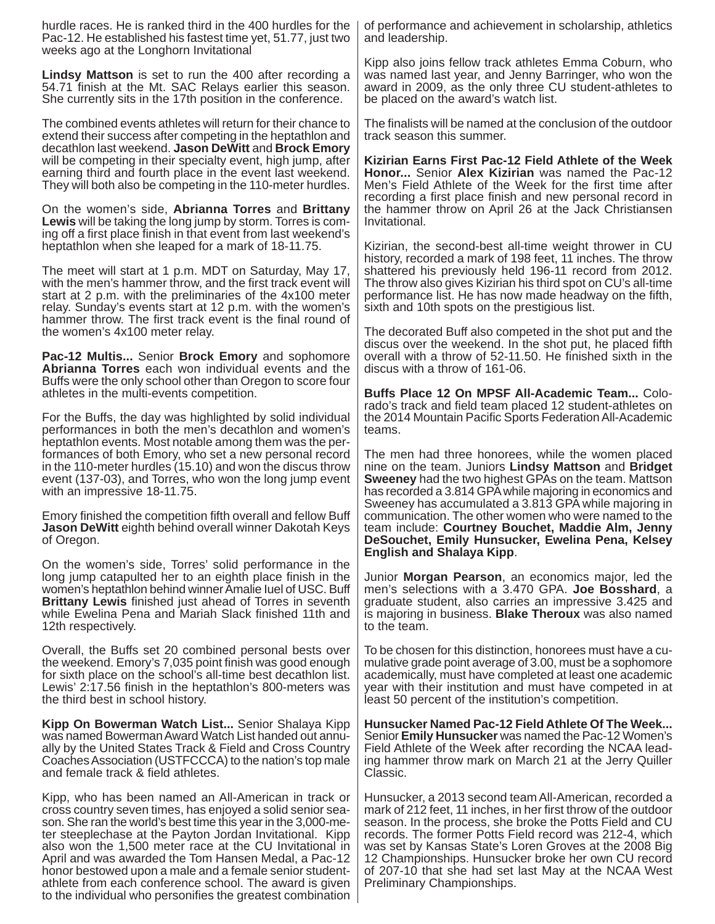hurdle races. He is ranked third in the 400 hurdles for the Pac-12. He established his fastest time yet, 51.77, just two weeks ago at the Longhorn Invitational

**Lindsy Mattson** is set to run the 400 after recording a 54.71 finish at the Mt. SAC Relays earlier this season. She currently sits in the 17th position in the conference.

The combined events athletes will return for their chance to extend their success after competing in the heptathlon and decathlon last weekend. **Jason DeWitt** and **Brock Emory**  will be competing in their specialty event, high jump, after earning third and fourth place in the event last weekend. They will both also be competing in the 110-meter hurdles.

On the women's side, **Abrianna Torres** and **Brittany Lewis** will be taking the long jump by storm. Torres is coming off a first place finish in that event from last weekend's heptathlon when she leaped for a mark of 18-11.75.

The meet will start at 1 p.m. MDT on Saturday, May 17, with the men's hammer throw, and the first track event will start at 2 p.m. with the preliminaries of the 4x100 meter relay. Sunday's events start at 12 p.m. with the women's hammer throw. The first track event is the final round of the women's 4x100 meter relay.

**Pac-12 Multis...** Senior **Brock Emory** and sophomore **Abrianna Torres** each won individual events and the Buffs were the only school other than Oregon to score four athletes in the multi-events competition.

For the Buffs, the day was highlighted by solid individual performances in both the men's decathlon and women's heptathlon events. Most notable among them was the performances of both Emory, who set a new personal record in the 110-meter hurdles (15.10) and won the discus throw event (137-03), and Torres, who won the long jump event with an impressive 18-11.75.

Emory finished the competition fifth overall and fellow Buff **Jason DeWitt** eighth behind overall winner Dakotah Keys of Oregon.

On the women's side, Torres' solid performance in the long jump catapulted her to an eighth place finish in the women's heptathlon behind winner Amalie Iuel of USC. Buff **Brittany Lewis** finished just ahead of Torres in seventh while Ewelina Pena and Mariah Slack finished 11th and 12th respectively.

Overall, the Buffs set 20 combined personal bests over the weekend. Emory's 7,035 point finish was good enough for sixth place on the school's all-time best decathlon list. Lewis' 2:17.56 finish in the heptathlon's 800-meters was the third best in school history.

**Kipp On Bowerman Watch List...** Senior Shalaya Kipp was named Bowerman Award Watch List handed out annually by the United States Track & Field and Cross Country Coaches Association (USTFCCCA) to the nation's top male and female track & field athletes.

Kipp, who has been named an All-American in track or cross country seven times, has enjoyed a solid senior season. She ran the world's best time this year in the 3,000-meter steeplechase at the Payton Jordan Invitational. Kipp also won the 1,500 meter race at the CU Invitational in April and was awarded the Tom Hansen Medal, a Pac-12 honor bestowed upon a male and a female senior studentathlete from each conference school. The award is given to the individual who personifies the greatest combination

of performance and achievement in scholarship, athletics and leadership.

Kipp also joins fellow track athletes Emma Coburn, who was named last year, and Jenny Barringer, who won the award in 2009, as the only three CU student-athletes to be placed on the award's watch list.

The finalists will be named at the conclusion of the outdoor track season this summer.

**Kizirian Earns First Pac-12 Field Athlete of the Week Honor...** Senior **Alex Kizirian** was named the Pac-12 Men's Field Athlete of the Week for the first time after recording a first place finish and new personal record in the hammer throw on April 26 at the Jack Christiansen Invitational.

Kizirian, the second-best all-time weight thrower in CU history, recorded a mark of 198 feet, 11 inches. The throw shattered his previously held 196-11 record from 2012. The throw also gives Kizirian his third spot on CU's all-time performance list. He has now made headway on the fifth, sixth and 10th spots on the prestigious list.

The decorated Buff also competed in the shot put and the discus over the weekend. In the shot put, he placed fifth overall with a throw of 52-11.50. He finished sixth in the discus with a throw of 161-06.

**Buffs Place 12 On MPSF All-Academic Team...** Colorado's track and field team placed 12 student-athletes on the 2014 Mountain Pacific Sports Federation All-Academic teams.

The men had three honorees, while the women placed nine on the team. Juniors **Lindsy Mattson** and **Bridget Sweeney** had the two highest GPAs on the team. Mattson has recorded a 3.814 GPA while majoring in economics and Sweeney has accumulated a 3.813 GPA while majoring in communication. The other women who were named to the team include: **Courtney Bouchet, Maddie Alm, Jenny DeSouchet, Emily Hunsucker, Ewelina Pena, Kelsey English and Shalaya Kipp**.

Junior **Morgan Pearson**, an economics major, led the men's selections with a 3.470 GPA. **Joe Bosshard**, a graduate student, also carries an impressive 3.425 and is majoring in business. **Blake Theroux** was also named to the team.

To be chosen for this distinction, honorees must have a cumulative grade point average of 3.00, must be a sophomore academically, must have completed at least one academic year with their institution and must have competed in at least 50 percent of the institution's competition.

**Hunsucker Named Pac-12 Field Athlete Of The Week...**  Senior **Emily Hunsucker** was named the Pac-12 Women's Field Athlete of the Week after recording the NCAA leading hammer throw mark on March 21 at the Jerry Quiller Classic.

Hunsucker, a 2013 second team All-American, recorded a mark of 212 feet, 11 inches, in her first throw of the outdoor season. In the process, she broke the Potts Field and CU records. The former Potts Field record was 212-4, which was set by Kansas State's Loren Groves at the 2008 Big 12 Championships. Hunsucker broke her own CU record of 207-10 that she had set last May at the NCAA West Preliminary Championships.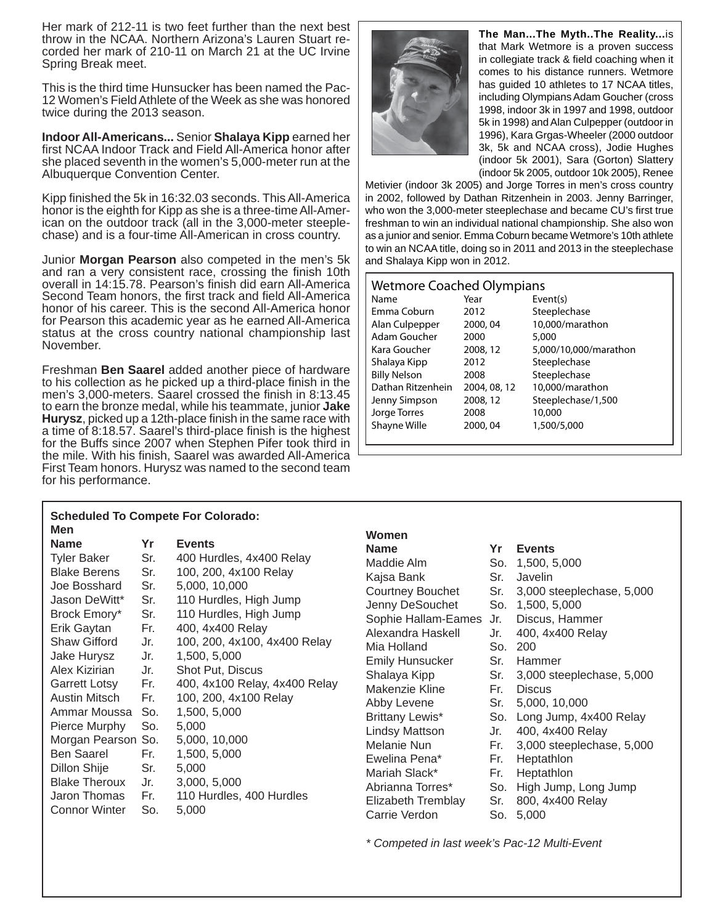Her mark of 212-11 is two feet further than the next best throw in the NCAA. Northern Arizona's Lauren Stuart recorded her mark of 210-11 on March 21 at the UC Irvine Spring Break meet.

This is the third time Hunsucker has been named the Pac-12 Women's Field Athlete of the Week as she was honored twice during the 2013 season.

**Indoor All-Americans...** Senior **Shalaya Kipp** earned her first NCAA Indoor Track and Field All-America honor after she placed seventh in the women's 5,000-meter run at the Albuquerque Convention Center.

Kipp finished the 5k in 16:32.03 seconds. This All-America honor is the eighth for Kipp as she is a three-time All-American on the outdoor track (all in the 3,000-meter steeplechase) and is a four-time All-American in cross country.

Junior **Morgan Pearson** also competed in the men's 5k and ran a very consistent race, crossing the finish 10th overall in 14:15.78. Pearson's finish did earn All-America Second Team honors, the first track and field All-America honor of his career. This is the second All-America honor for Pearson this academic year as he earned All-America status at the cross country national championship last November.

Freshman **Ben Saarel** added another piece of hardware to his collection as he picked up a third-place finish in the men's 3,000-meters. Saarel crossed the finish in 8:13.45 to earn the bronze medal, while his teammate, junior **Jake Hurysz**, picked up a 12th-place finish in the same race with a time of 8:18.57. Saarel's third-place finish is the highest for the Buffs since 2007 when Stephen Pifer took third in the mile. With his finish, Saarel was awarded All-America First Team honors. Hurysz was named to the second team for his performance.

**The Man...The Myth..The Reality...**is that Mark Wetmore is a proven success in collegiate track & field coaching when it comes to his distance runners. Wetmore has guided 10 athletes to 17 NCAA titles, including Olympians Adam Goucher (cross 1998, indoor 3k in 1997 and 1998, outdoor 5k in 1998) and Alan Culpepper (outdoor in 1996), Kara Grgas-Wheeler (2000 outdoor 3k, 5k and NCAA cross), Jodie Hughes (indoor 5k 2001), Sara (Gorton) Slattery (indoor 5k 2005, outdoor 10k 2005), Renee

Metivier (indoor 3k 2005) and Jorge Torres in men's cross country in 2002, followed by Dathan Ritzenhein in 2003. Jenny Barringer, who won the 3,000-meter steeplechase and became CU's first true freshman to win an individual national championship. She also won as a junior and senior. Emma Coburn became Wetmore's 10th athlete to win an NCAA title, doing so in 2011 and 2013 in the steeplechase and Shalaya Kipp won in 2012.

| <b>Wetmore Coached Olympians</b> |              |                       |
|----------------------------------|--------------|-----------------------|
| Name                             | Year         | Event(s)              |
| Emma Coburn                      | 2012         | Steeplechase          |
| Alan Culpepper                   | 2000, 04     | 10,000/marathon       |
| Adam Goucher                     | 2000         | 5,000                 |
| Kara Goucher                     | 2008, 12     | 5,000/10,000/marathon |
| Shalaya Kipp                     | 2012         | Steeplechase          |
| <b>Billy Nelson</b>              | 2008         | Steeplechase          |
| Dathan Ritzenhein                | 2004, 08, 12 | 10,000/marathon       |
| Jenny Simpson                    | 2008, 12     | Steeplechase/1,500    |
| Jorge Torres                     | 2008         | 10,000                |
| Shayne Wille                     | 2000, 04     | 1,500/5,000           |
|                                  |              |                       |

| <b>Scheduled To Compete For Colorado:</b> |     |                               |                         |     |                           |
|-------------------------------------------|-----|-------------------------------|-------------------------|-----|---------------------------|
| Men                                       |     |                               | Women                   |     |                           |
| <b>Name</b>                               | Yr  | <b>Events</b>                 | <b>Name</b>             | Yr  | <b>Events</b>             |
| <b>Tyler Baker</b>                        | Sr. | 400 Hurdles, 4x400 Relay      | Maddie Alm              |     | So. 1,500, 5,000          |
| <b>Blake Berens</b>                       | Sr. | 100, 200, 4x100 Relay         | Kajsa Bank              | Sr. | Javelin                   |
| Joe Bosshard                              | Sr. | 5,000, 10,000                 | <b>Courtney Bouchet</b> | Sr. | 3,000 steeplechase, 5,000 |
| Jason DeWitt*                             | Sr. | 110 Hurdles, High Jump        | Jenny DeSouchet         | So. | 1,500, 5,000              |
| Brock Emory*                              | Sr. | 110 Hurdles, High Jump        | Sophie Hallam-Eames     | Jr. | Discus, Hammer            |
| Erik Gaytan                               | Fr. | 400, 4x400 Relay              | Alexandra Haskell       | Jr. | 400, 4x400 Relay          |
| <b>Shaw Gifford</b>                       | Jr. | 100, 200, 4x100, 4x400 Relay  | Mia Holland             | So. | 200                       |
| Jake Hurysz                               | Jr. | 1,500, 5,000                  | <b>Emily Hunsucker</b>  | Sr. | Hammer                    |
| Alex Kizirian                             | Jr. | Shot Put, Discus              | Shalaya Kipp            | Sr. | 3,000 steeplechase, 5,000 |
| Garrett Lotsy                             | Fr. | 400, 4x100 Relay, 4x400 Relay | Makenzie Kline          | Fr. | <b>Discus</b>             |
| Austin Mitsch                             | Fr. | 100, 200, 4x100 Relay         | Abby Levene             | Sr. | 5,000, 10,000             |
| Ammar Moussa                              | So. | 1,500, 5,000                  | Brittany Lewis*         | So. | Long Jump, 4x400 Relay    |
| Pierce Murphy                             | So. | 5,000                         | Lindsy Mattson          | Jr. | 400, 4x400 Relay          |
| Morgan Pearson So.                        |     | 5,000, 10,000                 | Melanie Nun             | Fr. | 3,000 steeplechase, 5,000 |
| <b>Ben Saarel</b>                         | Fr. | 1,500, 5,000                  | Ewelina Pena*           | Fr. | Heptathlon                |
| Dillon Shije                              | Sr. | 5,000                         | Mariah Slack*           | Fr. | Heptathlon                |
| <b>Blake Theroux</b>                      | Jr. | 3,000, 5,000                  | Abrianna Torres*        | So. | High Jump, Long Jump      |
| Jaron Thomas                              | Fr. | 110 Hurdles, 400 Hurdles      | Elizabeth Tremblay      | Sr. | 800, 4x400 Relay          |
| <b>Connor Winter</b>                      | So. | 5,000                         | Carrie Verdon           | So. | 5,000                     |

*\* Competed in last week's Pac-12 Multi-Event*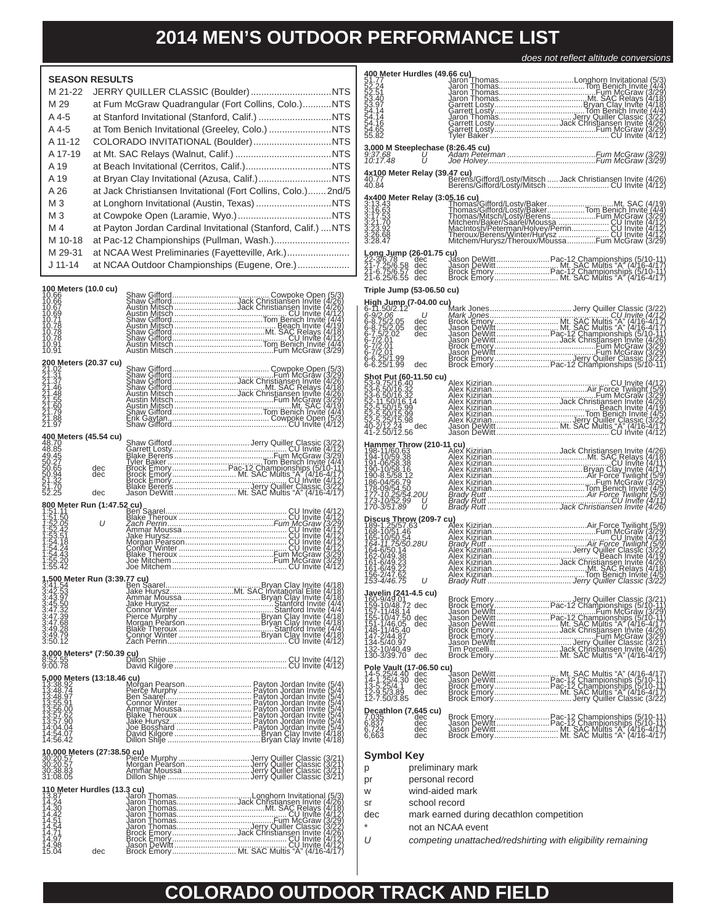*does not refl ect altitude conversions*

| <b>SEASON RESULTS</b>                                                                                                                    |            |                                                                                                                                                                                                                                                                                   |                        |
|------------------------------------------------------------------------------------------------------------------------------------------|------------|-----------------------------------------------------------------------------------------------------------------------------------------------------------------------------------------------------------------------------------------------------------------------------------|------------------------|
| M 21-22                                                                                                                                  |            |                                                                                                                                                                                                                                                                                   | monononom              |
| M 29                                                                                                                                     |            | at Fum McGraw Quadrangular (Fort Collins, Colo.)NTS                                                                                                                                                                                                                               |                        |
| A 4-5                                                                                                                                    |            | at Stanford Invitational (Stanford, Calif.) NTS                                                                                                                                                                                                                                   |                        |
| A 4-5                                                                                                                                    |            | at Tom Benich Invitational (Greeley, Colo.) NTS                                                                                                                                                                                                                                   |                        |
| A 11-12                                                                                                                                  |            | COLORADO INVITATIONAL (Boulder) NTS                                                                                                                                                                                                                                               |                        |
| A 17-19                                                                                                                                  |            |                                                                                                                                                                                                                                                                                   | $\frac{3}{9}$          |
| A 19                                                                                                                                     |            |                                                                                                                                                                                                                                                                                   |                        |
| A 19                                                                                                                                     |            |                                                                                                                                                                                                                                                                                   | $\frac{4}{4}$          |
| A 26                                                                                                                                     |            | at Jack Christiansen Invitational (Fort Collins, Colo.)2nd/5                                                                                                                                                                                                                      |                        |
| M <sub>3</sub>                                                                                                                           |            |                                                                                                                                                                                                                                                                                   | 400000000000           |
| $M_3$                                                                                                                                    |            |                                                                                                                                                                                                                                                                                   |                        |
| M 4                                                                                                                                      |            | at Payton Jordan Cardinal Invitational (Stanford, Calif.)  NTS                                                                                                                                                                                                                    |                        |
| M 10-18                                                                                                                                  |            | at Pac-12 Championships (Pullman, Wash.)                                                                                                                                                                                                                                          |                        |
| M 29-31                                                                                                                                  |            | at NCAA West Preliminaries (Fayetteville, Ark.)                                                                                                                                                                                                                                   |                        |
| $J$ 11-14                                                                                                                                |            | at NCAA Outdoor Championships (Eugene, Ore.)                                                                                                                                                                                                                                      | $\frac{L}{2}$          |
|                                                                                                                                          |            |                                                                                                                                                                                                                                                                                   |                        |
| 100 Meters (10.0 cu)                                                                                                                     |            |                                                                                                                                                                                                                                                                                   | T                      |
|                                                                                                                                          |            |                                                                                                                                                                                                                                                                                   |                        |
|                                                                                                                                          |            |                                                                                                                                                                                                                                                                                   |                        |
|                                                                                                                                          |            |                                                                                                                                                                                                                                                                                   |                        |
|                                                                                                                                          |            |                                                                                                                                                                                                                                                                                   |                        |
|                                                                                                                                          |            |                                                                                                                                                                                                                                                                                   |                        |
| 200 Meters (20.37 cu)                                                                                                                    |            | Shaw Gifford<br>Shaw Gifford<br>Shaw Gifford<br>Shaw Gifford<br>Shaw Gifford<br>Shaw Gifford<br>Shaw Gifford<br>Austin Misch<br>Austin Misch<br>Austin Misch<br>Austin Misch<br>Austin Misch<br>Austin Misch<br>Austin Misch<br>Austin Misch<br>Austin Misch<br>Austin Misch<br>A |                        |
|                                                                                                                                          |            |                                                                                                                                                                                                                                                                                   |                        |
|                                                                                                                                          |            |                                                                                                                                                                                                                                                                                   |                        |
|                                                                                                                                          |            |                                                                                                                                                                                                                                                                                   |                        |
|                                                                                                                                          |            |                                                                                                                                                                                                                                                                                   |                        |
|                                                                                                                                          |            |                                                                                                                                                                                                                                                                                   |                        |
| 400 Meters (45.54 cu)                                                                                                                    |            |                                                                                                                                                                                                                                                                                   |                        |
|                                                                                                                                          |            |                                                                                                                                                                                                                                                                                   |                        |
|                                                                                                                                          | dec<br>dec |                                                                                                                                                                                                                                                                                   |                        |
|                                                                                                                                          |            |                                                                                                                                                                                                                                                                                   |                        |
|                                                                                                                                          | dec        |                                                                                                                                                                                                                                                                                   |                        |
|                                                                                                                                          |            |                                                                                                                                                                                                                                                                                   |                        |
|                                                                                                                                          |            |                                                                                                                                                                                                                                                                                   |                        |
|                                                                                                                                          |            |                                                                                                                                                                                                                                                                                   |                        |
|                                                                                                                                          |            |                                                                                                                                                                                                                                                                                   |                        |
|                                                                                                                                          |            |                                                                                                                                                                                                                                                                                   |                        |
|                                                                                                                                          |            |                                                                                                                                                                                                                                                                                   |                        |
|                                                                                                                                          |            |                                                                                                                                                                                                                                                                                   |                        |
|                                                                                                                                          |            |                                                                                                                                                                                                                                                                                   |                        |
| 3:43.97<br>3:45.50<br>3:47.32<br>3:47.39                                                                                                 |            |                                                                                                                                                                                                                                                                                   |                        |
|                                                                                                                                          |            | Ammar Moussa<br>Hypan Clay Invite (4/18)<br>Jake Hurpy Stanford Invite (4/18)<br>Connor Winter<br>Connor Winter<br>Connor Winter<br>Connor Winter<br>Bixthe (4/18)<br>Bixthe (4/18)<br>Bixthe (4/18)<br>Bixthe (4/18)<br>Bixthe (4/18)<br>Bixthe (4/18                            |                        |
| 3:47:68<br>3:49:28<br>3:49:79                                                                                                            |            |                                                                                                                                                                                                                                                                                   | 1.                     |
| 3:50.12                                                                                                                                  |            |                                                                                                                                                                                                                                                                                   | 1.<br>1                |
|                                                                                                                                          |            |                                                                                                                                                                                                                                                                                   | $\ddot{1}$<br>P        |
| <b>5,000 Meters (13:18.46 cu)</b><br>13:38.92<br>13:48.74 Plori<br>13:48.74 Benn<br>13:55.91 Benn Con<br>13:55.00 Amn<br>13:57.90 Belake |            |                                                                                                                                                                                                                                                                                   | י<br>1                 |
|                                                                                                                                          |            |                                                                                                                                                                                                                                                                                   | 1<br>$\ddot{\ddagger}$ |
|                                                                                                                                          |            |                                                                                                                                                                                                                                                                                   |                        |
|                                                                                                                                          |            |                                                                                                                                                                                                                                                                                   |                        |
| 14:04.04                                                                                                                                 |            |                                                                                                                                                                                                                                                                                   | <b>D</b><br>666        |
| 14:54.07<br>14:56.42                                                                                                                     |            |                                                                                                                                                                                                                                                                                   |                        |
|                                                                                                                                          |            |                                                                                                                                                                                                                                                                                   | S                      |
|                                                                                                                                          |            |                                                                                                                                                                                                                                                                                   | р                      |
|                                                                                                                                          |            |                                                                                                                                                                                                                                                                                   | р                      |
|                                                                                                                                          |            |                                                                                                                                                                                                                                                                                   | W                      |
|                                                                                                                                          |            |                                                                                                                                                                                                                                                                                   | s                      |
|                                                                                                                                          |            |                                                                                                                                                                                                                                                                                   | d                      |
|                                                                                                                                          |            |                                                                                                                                                                                                                                                                                   |                        |
|                                                                                                                                          |            |                                                                                                                                                                                                                                                                                   |                        |
|                                                                                                                                          |            |                                                                                                                                                                                                                                                                                   |                        |

| 4x100 Meter Relay (39.47 cu)<br>40.77<br>40.84                                                                                                                                                          |     |                  | Berens/Gifford/Losty/Mitsch  Jack Christiansen Invite (4/26)<br>Berens/Gifford/Losty/Mitsch CU Invite (4/12)                                                                                                                                                                |  |  |
|---------------------------------------------------------------------------------------------------------------------------------------------------------------------------------------------------------|-----|------------------|-----------------------------------------------------------------------------------------------------------------------------------------------------------------------------------------------------------------------------------------------------------------------------|--|--|
|                                                                                                                                                                                                         |     |                  |                                                                                                                                                                                                                                                                             |  |  |
|                                                                                                                                                                                                         |     |                  |                                                                                                                                                                                                                                                                             |  |  |
|                                                                                                                                                                                                         |     |                  |                                                                                                                                                                                                                                                                             |  |  |
|                                                                                                                                                                                                         |     |                  |                                                                                                                                                                                                                                                                             |  |  |
|                                                                                                                                                                                                         |     |                  |                                                                                                                                                                                                                                                                             |  |  |
| Triple Jump (53-06.50 cu)                                                                                                                                                                               |     |                  |                                                                                                                                                                                                                                                                             |  |  |
|                                                                                                                                                                                                         |     |                  |                                                                                                                                                                                                                                                                             |  |  |
|                                                                                                                                                                                                         |     |                  |                                                                                                                                                                                                                                                                             |  |  |
|                                                                                                                                                                                                         |     |                  |                                                                                                                                                                                                                                                                             |  |  |
|                                                                                                                                                                                                         |     |                  |                                                                                                                                                                                                                                                                             |  |  |
| <b>Shot Put (60-11.50 cu)</b><br>53-9.75/16.42<br>53-6.50/16.32<br>53-6.50/16.32<br>52-11.50/16.14<br>52-5.50/15.99<br>52-5.50/15.99<br>52-5.50/15.99<br>52-5.50/15.99                                  |     |                  |                                                                                                                                                                                                                                                                             |  |  |
|                                                                                                                                                                                                         |     |                  |                                                                                                                                                                                                                                                                             |  |  |
|                                                                                                                                                                                                         |     |                  | CU Invite (4/12)<br>Alex Kizirian<br>Alex Kizirian<br>Alex Kizirian<br>Alex Kizirian<br>Alex Kizirian<br>Alex Kizirian<br>Alex Kizirian<br>Alex Kizirian<br>Alex Kizirian<br>Alex Kizirian<br>Alex Kizirian<br>Alex Kizirian<br>Alex Kizirian<br>Alex Kizirian<br>Alex Kizi |  |  |
|                                                                                                                                                                                                         |     |                  |                                                                                                                                                                                                                                                                             |  |  |
|                                                                                                                                                                                                         |     |                  | Hammer Throw (210-11 cu)<br>198-11/60 638<br>198-10/59 38<br>198-10/59 38<br>201-00/58 38<br>201-00/58 38<br>201-00/58 38<br>201-00/58 38<br>201-00/58 38<br>201-00/58 38<br>201-00/58 38<br>201-00/58 38<br>201-00/58 38<br>201-00/58 38<br>201-00/58 38<br>               |  |  |
|                                                                                                                                                                                                         |     |                  |                                                                                                                                                                                                                                                                             |  |  |
|                                                                                                                                                                                                         |     |                  |                                                                                                                                                                                                                                                                             |  |  |
|                                                                                                                                                                                                         |     |                  |                                                                                                                                                                                                                                                                             |  |  |
| <b>Discus Throw (209-7 cv)</b><br>189-10/51-46<br>186-10/51-46<br>186-10/50-54<br>186-10/50-54<br>184-6/50-14<br>189-0/49-23<br>181-6/49-23<br>181-6/49-22<br>181-6/49-22<br>181-6/49-22<br>181-6/49-22 |     |                  |                                                                                                                                                                                                                                                                             |  |  |
|                                                                                                                                                                                                         |     |                  |                                                                                                                                                                                                                                                                             |  |  |
|                                                                                                                                                                                                         |     |                  |                                                                                                                                                                                                                                                                             |  |  |
|                                                                                                                                                                                                         |     |                  |                                                                                                                                                                                                                                                                             |  |  |
| <b>Javelin (241-4.5 cu)</b><br>160-9/49.01<br>152-10/48.14<br>155-10/47.50 dec<br>155-10/47.50 dec<br>143-1/46.40<br>147-2/44.87                                                                        |     |                  |                                                                                                                                                                                                                                                                             |  |  |
|                                                                                                                                                                                                         |     |                  |                                                                                                                                                                                                                                                                             |  |  |
|                                                                                                                                                                                                         |     |                  |                                                                                                                                                                                                                                                                             |  |  |
| 134-5/40.97<br>132-10/40.49<br>30-3/39.70                                                                                                                                                               | dec |                  | Brock Emory<br>Jacob Christian Pac-12 Championships (5/21)<br>Jason DeWitt<br>Jason DeWitt<br>Jason DeWitt<br>Day (3/29)<br>Jason DeWitt<br>Day (2/21)<br>Jacob Christiansen Invite (4/16-4/17)<br>Day Jacob Christiansen Invite (4/28)<br>Jacob C                          |  |  |
|                                                                                                                                                                                                         |     |                  |                                                                                                                                                                                                                                                                             |  |  |
|                                                                                                                                                                                                         |     |                  |                                                                                                                                                                                                                                                                             |  |  |
|                                                                                                                                                                                                         |     |                  |                                                                                                                                                                                                                                                                             |  |  |
| <b>Decathlon (7,645 cu)</b><br>7,035 dec<br>6,837 dec<br>6,724 dec                                                                                                                                      |     |                  |                                                                                                                                                                                                                                                                             |  |  |
| 6,663                                                                                                                                                                                                   | dec |                  |                                                                                                                                                                                                                                                                             |  |  |
| Symbol Key<br>р                                                                                                                                                                                         |     | preliminary mark |                                                                                                                                                                                                                                                                             |  |  |

- pr personal record
- w wind-aided mark
- sr school record
- dec mark earned during decathlon competition
- not an NCAA event
- *U competing unattached/redshirting with eligibility remaining*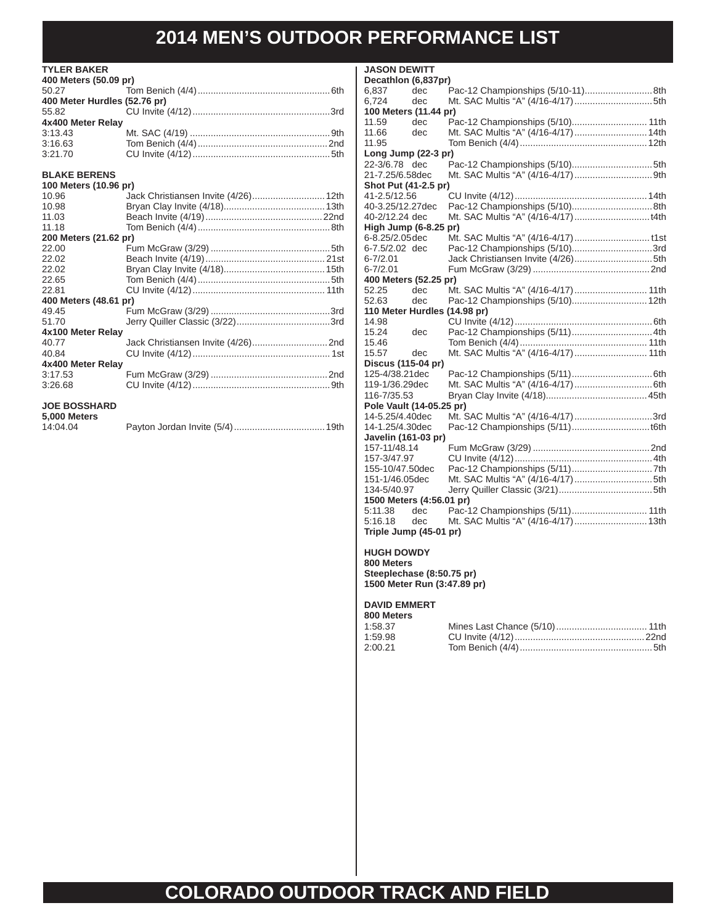**JASON DEWITT**

#### **TYLER BAKER**

| 400 Meters (50.09 pr)        |  |
|------------------------------|--|
|                              |  |
| 400 Meter Hurdles (52.76 pr) |  |
|                              |  |
| 4x400 Meter Relay            |  |
| 3:13.43                      |  |
| 3:16.63                      |  |
| 3:21.70                      |  |

### **BLAKE BERENS**

| 100 Meters (10.96 pr) |  |
|-----------------------|--|
| 10.96                 |  |
| 10.98                 |  |
| 11.03                 |  |
| 11.18                 |  |
| 200 Meters (21.62 pr) |  |
| 22.00                 |  |
| 22.02                 |  |
| 22.02                 |  |
| 22.65                 |  |
| 22.81                 |  |
| 400 Meters (48.61 pr) |  |
| 49.45                 |  |
| 51.70                 |  |
| 4x100 Meter Relay     |  |
| 40.77                 |  |
| 40.84                 |  |
| 4x400 Meter Relay     |  |
| 3:17.53               |  |
| 3:26.68               |  |
| IOF ROSSHARD          |  |

#### **JOE BOSSHARD 5,000 Meters**

| ,,,,,,,,,,,,, |  |
|---------------|--|
| 14:04.04      |  |

#### **Decathlon (6,837pr)**<br>6.837 dec 6,837 dec Pac-12 Championships (5/10-11) ..........................8th 6,724 dec Mt. SAC Multis "A" (4/16-4/17) ..............................5th **100 Meters (11.44 pr)** 11.59 dec Pac-12 Championships (5/10)............................. 11th 11.66 dec Mt. SAC Multis "A" (4/16-4/17) ............................14th 11.95 Tom Benich (4/4) .................................................12th **Long Jump (22-3 pr)** 22-3/6.78 dec Pac-12 Championships (5/10)...............................5th 21-7.25/6.58 dec Mt. SAC Multis "A" (4/16-4/17) ..............................9th **Shot Put (41-2.5 pr)**<br>41-2.5/12.56 41-2.5/12.56CU Invite (4/12) ...................................................14th 40-3.25/12.27 dec Pac-12 Championships (5/10)...............................8th 40-2/12.24 dec Mt. SAC Multis "A" (4/16-4/17) .............................t4th **High Jump (6-8.25 pr)** 6-8.25/2.05 dec Mt. SAC Multis "A" (4/16-4/17) ............................. t1st 6-7.5/2.02 dec Pac-12 Championships (5/10)...............................3rd 6-7/2.01 Jack Christiansen Invite (4/26) ..............................5th 6-7/2.01 Fum McGraw (3/29) .............................................2nd **400 Meters (52.25 pr)** 52.25 dec Mt. SAC Multis "A" (4/16-4/17) ............................ 11th 52.63 dec Pac-12 Championships (5/10).............................12th **110 Meter Hurdles (14.98 pr)**<br>14.98 CU Invite 14.98 CU Invite (4/12) .....................................................6th 15.24 dec Pac-12 Championships (5/11) ...............................4th 15.46 Tom Benich (4/4) ................................................. 11th 15.57 dec Mt. SAC Multis "A" (4/16-4/17) ............................ 11th **Discus (115-04 pr)** 125-4/38.21 dec Pac-12 Championships (5/11) ...............................6th 119-1/36.29 dec Mt. SAC Multis "A" (4/16-4/17) ..............................6th 116-7/35.53 Bryan Clay Invite (4/18).......................................45th **Pole Vault (14-05.25 pr)**<br>14-5.25/4.40dec Mt. S 14-5.25/4.40 dec Mt. SAC Multis "A" (4/16-4/17) ..............................3rd 14-1.25/4.30 dec Pac-12 Championships (5/11) ..............................t6th **Javelin (161-03 pr)** 157-11/48.14 Fum McGraw (3/29) .............................................2nd 157-3/47.97 CU Invite (4/12) .....................................................4th 155-10/47.50 dec Pac-12 Championships (5/11) ...............................7th 151-1/46.05 dec Mt. SAC Multis "A" (4/16-4/17) ..............................5th 134-5/40.97 Jerry Quiller Classic (3/21) ....................................5th **1500 Meters (4:56.01 pr)** 5:11.38 dec Pac-12 Championships (5/11) ............................. 11th 5:16.18 dec Mt. SAC Multis "A" (4/16-4/17) ............................13th

### **Triple Jump (45-01 pr)**

### **HUGH DOWDY**

**800 Meters Steeplechase (8:50.75 pr) 1500 Meter Run (3:47.89 pr)**

#### **DAVID EMMERT 800 Meters**

| כ וסוסות טעט |  |
|--------------|--|
| 1:58.37      |  |
| 1:59.98      |  |
| 2:00.21      |  |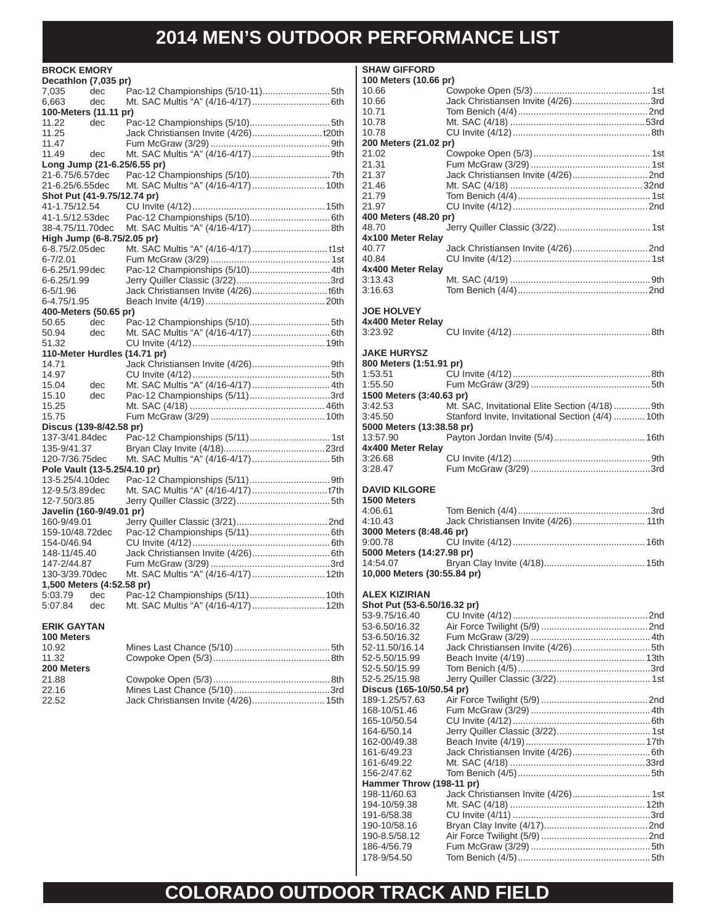| <b>BROCK EMORY</b>           |     |                                      |
|------------------------------|-----|--------------------------------------|
| Decathion (7,035 pr)         |     |                                      |
| 7,035                        | dec |                                      |
| 6,663                        | dec |                                      |
| 100-Meters (11.11 pr)        |     |                                      |
| 11.22                        | dec |                                      |
| 11.25                        |     |                                      |
| 11.47                        |     |                                      |
| 11.49                        | dec |                                      |
| Long Jump (21-6.25/6.55 pr)  |     |                                      |
| 21-6.75/6.57dec              |     |                                      |
| 21-6.25/6.55dec              |     |                                      |
| Shot Put (41-9.75/12.74 pr)  |     |                                      |
| 41-1.75/12.54                |     |                                      |
| 41-1.5/12.53dec              |     |                                      |
| 38-4.75/11.70dec             |     | Mt. SAC Multis "A" (4/16-4/17)8th    |
| High Jump (6-8.75/2.05 pr)   |     |                                      |
| 6-8.75/2.05 dec              |     |                                      |
| 6-7/2.01                     |     |                                      |
| 6-6.25/1.99dec               |     | Pac-12 Championships (5/10) 4th      |
| 6-6.25/1.99                  |     |                                      |
| 6-5/1.96                     |     |                                      |
| 6-4.75/1.95                  |     |                                      |
| 400-Meters (50.65 pr)        |     |                                      |
| 50.65                        | dec | Pac-12 Championships (5/10)5th       |
| 50.94<br>51.32               | dec |                                      |
| 110-Meter Hurdles (14.71 pr) |     |                                      |
| 14.71                        |     |                                      |
| 14.97                        |     |                                      |
| 15.04                        | dec | Mt. SAC Multis "A" (4/16-4/17)  4th  |
| 15.10                        | dec | Pac-12 Championships (5/11)3rd       |
| 15.25                        |     |                                      |
| 15.75                        |     |                                      |
| Discus (139-8/42.58 pr)      |     |                                      |
| 137-3/41.84dec               |     |                                      |
| 135-9/41.37                  |     |                                      |
| 120-7/36.75dec               |     |                                      |
| Pole Vault (13-5.25/4.10 pr) |     |                                      |
| 13-5.25/4.10dec              |     |                                      |
| 12-9.5/3.89dec               |     |                                      |
| 12-7.50/3.85                 |     |                                      |
| Javelin (160-9/49.01 pr)     |     |                                      |
| 160-9/49.01                  |     |                                      |
| 159-10/48.72dec              |     |                                      |
| 154-0/46.94                  |     |                                      |
| 148-11/45.40                 |     |                                      |
| 147-2/44.87                  |     |                                      |
| 130-3/39.70dec               |     | Mt. SAC Multis "A" (4/16-4/17)  12th |
| 1,500 Meters (4:52.58 pr)    |     |                                      |
| 5:03.79                      | dec | Pac-12 Championships (5/11) 10th     |
| 5:07.84                      | dec | Mt. SAC Multis "A" (4/16-4/17) 12th  |
| <b>ERIK GAYTAN</b>           |     |                                      |
| 100 Meters                   |     |                                      |
| 10.92                        |     |                                      |
| 11.32                        |     |                                      |
| 200 Meters                   |     |                                      |
| 21.88                        |     |                                      |
| 22.16                        |     |                                      |

22.52 Jack Christiansen Invite (4/26) ............................15th

| <b>SHAW GIFFORD</b>                           |                                                   |
|-----------------------------------------------|---------------------------------------------------|
| 100 Meters (10.66 pr)                         |                                                   |
| 10.66                                         |                                                   |
| 10.66                                         | Jack Christiansen Invite (4/26)3rd                |
| 10.71                                         |                                                   |
| 10.78<br>10.78                                |                                                   |
| 200 Meters (21.02 pr)                         |                                                   |
| 21.02                                         |                                                   |
| 21.31                                         |                                                   |
| 21.37                                         |                                                   |
| 21.46                                         |                                                   |
| 21.79                                         |                                                   |
| 21.97                                         |                                                   |
| 400 Meters (48.20 pr)                         |                                                   |
| 48.70                                         |                                                   |
| 4x100 Meter Relay<br>40.77                    |                                                   |
| 40.84                                         |                                                   |
| 4x400 Meter Relay                             |                                                   |
| 3:13.43                                       |                                                   |
| 3:16.63                                       |                                                   |
|                                               |                                                   |
| <b>JOE HOLVEY</b>                             |                                                   |
| 4x400 Meter Relay                             |                                                   |
| 3:23.92                                       |                                                   |
|                                               |                                                   |
| <b>JAKE HURYSZ</b><br>800 Meters (1:51.91 pr) |                                                   |
| 1:53.51                                       |                                                   |
| 1:55.50                                       |                                                   |
| 1500 Meters (3:40.63 pr)                      |                                                   |
| 3:42.53                                       | Mt. SAC, Invitational Elite Section (4/18)  9th   |
| 3:45.50                                       | Stanford Invite, Invitational Section (4/4)  10th |
| 5000 Meters (13:38.58 pr)                     |                                                   |
| 13:57.90                                      |                                                   |
| 4x400 Meter Relay                             |                                                   |
| 3:26.68                                       |                                                   |
| 3:28.47                                       |                                                   |
|                                               |                                                   |
| <b>DAVID KILGORE</b>                          |                                                   |
| 1500 Meters<br>4:06.61                        |                                                   |
| 4:10.43                                       | Jack Christiansen Invite (4/26) 11th              |
| 3000 Meters (8:48.46 pr)                      |                                                   |
| 9:00.78                                       |                                                   |
| 5000 Meters (14:27.98 pr)                     |                                                   |
| 14:54.07                                      |                                                   |
| 10,000 Meters (30:55.84 pr)                   |                                                   |
|                                               |                                                   |
| <b>ALEX KIZIRIAN</b>                          |                                                   |
|                                               |                                                   |
| Shot Put (53-6.50/16.32 pr)                   |                                                   |
| 53-9.75/16.40                                 |                                                   |
| 53-6.50/16.32                                 |                                                   |
| 53-6.50/16.32                                 |                                                   |
| 52-11.50/16.14                                |                                                   |
| 52-5.50/15.99                                 |                                                   |
| 52-5.50/15.99                                 |                                                   |
| 52-5.25/15.98                                 |                                                   |
| Discus (165-10/50.54 pr)<br>189-1.25/57.63    |                                                   |
| 168-10/51.46                                  |                                                   |
| 165-10/50.54                                  |                                                   |
| 164-6/50.14                                   |                                                   |
| 162-00/49.38                                  |                                                   |
| 161-6/49.23                                   |                                                   |
| 161-6/49.22                                   |                                                   |
| 156-2/47.62                                   |                                                   |
| Hammer Throw (198-11 pr)                      |                                                   |
| 198-11/60.63                                  |                                                   |
| 194-10/59.38                                  |                                                   |
| 191-6/58.38<br>190-10/58.16                   |                                                   |

186-4/56.79 Fum McGraw (3/29) ..............................................5th 178-9/54.50 Tom Benich (4/5) ...................................................5th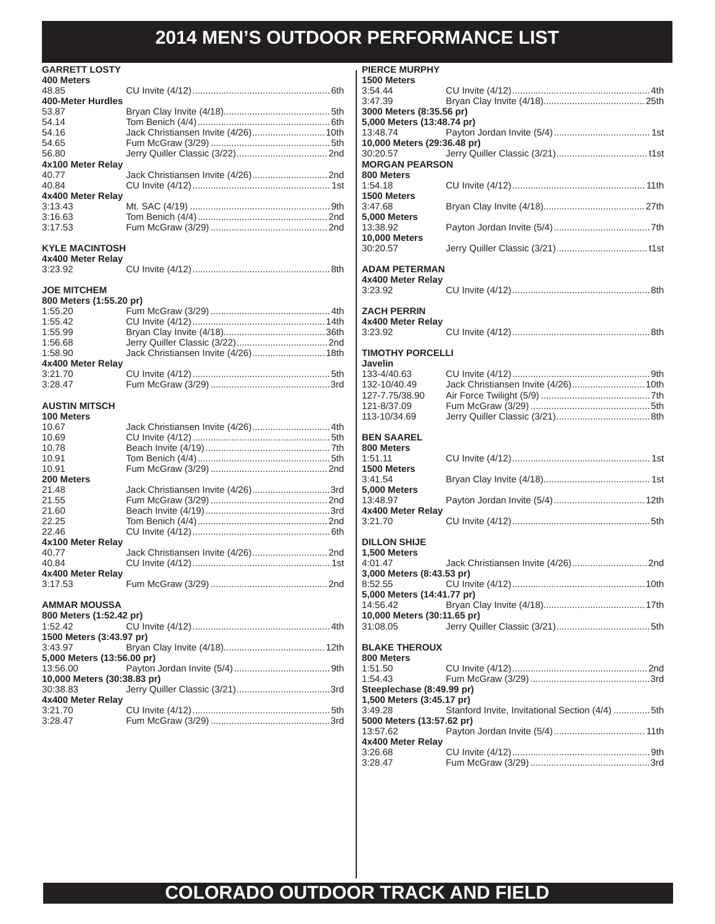| <b>GARRETT LOSTY</b>         |                                      |
|------------------------------|--------------------------------------|
| 400 Meters                   |                                      |
| 48.85                        |                                      |
| 400-Meter Hurdles            |                                      |
| 53.87                        |                                      |
| 54.14                        |                                      |
| 54.16                        | Jack Christiansen Invite (4/26) 10th |
| 54.65                        |                                      |
| 56.80                        |                                      |
| 4x100 Meter Relay            |                                      |
| 40.77                        |                                      |
| 40.84                        |                                      |
| 4x400 Meter Relay            |                                      |
| 3:13.43                      |                                      |
| 3:16.63                      |                                      |
| 3:17.53                      |                                      |
|                              |                                      |
| <b>KYLE MACINTOSH</b>        |                                      |
| 4x400 Meter Relay            |                                      |
| 3:23.92                      |                                      |
|                              |                                      |
| <b>JOE MITCHEM</b>           |                                      |
| 800 Meters (1:55.20 pr)      |                                      |
|                              |                                      |
| 1:55.20                      |                                      |
| 1:55.42                      |                                      |
| 1:55.99                      |                                      |
| 1:56.68                      |                                      |
| 1:58.90                      | Jack Christiansen Invite (4/26) 18th |
| 4x400 Meter Relay            |                                      |
| 3:21.70                      |                                      |
| 3:28.47                      |                                      |
|                              |                                      |
| <b>AUSTIN MITSCH</b>         |                                      |
| <b>100 Meters</b>            |                                      |
| 10.67                        | Jack Christiansen Invite (4/26) 4th  |
| 10.69                        |                                      |
| 10.78                        |                                      |
| 10.91                        |                                      |
| 10.91                        |                                      |
| 200 Meters                   |                                      |
| 21.48                        | Jack Christiansen Invite (4/26)3rd   |
| 21.55                        |                                      |
| 21.60                        |                                      |
| 22.25                        |                                      |
| 22.46                        |                                      |
| 4x100 Meter Relay            |                                      |
| 40.77                        |                                      |
| 40.84                        |                                      |
| 4x400 Meter Relav            |                                      |
| 3:17.53                      | Fum McGraw (3/29)<br>2 <sub>nd</sub> |
|                              |                                      |
| AMMAR MOUSSA                 |                                      |
| 800 Meters (1:52.42 pr)      |                                      |
| 1:52.42                      |                                      |
| 1500 Meters (3:43.97 pr)     |                                      |
| 3:43.97                      |                                      |
| 5,000 Meters (13:56.00 pr)   |                                      |
|                              |                                      |
| 13:56.00                     |                                      |
| 10,000 Meters (30:38.83 pr)  |                                      |
|                              |                                      |
| 30:38.83                     |                                      |
| 4x400 Meter Relay<br>3:21.70 |                                      |

3:28.47 Fum McGraw (3/29) ..............................................3rd

| <b>PIERCE MURPHY</b>                      |                                                 |  |
|-------------------------------------------|-------------------------------------------------|--|
| 1500 Meters<br>3:54.44                    |                                                 |  |
| 3:47.39                                   |                                                 |  |
| 3000 Meters (8:35.56 pr)                  |                                                 |  |
| 5,000 Meters (13:48.74 pr)                |                                                 |  |
| 13:48.74                                  |                                                 |  |
| 10,000 Meters (29:36.48 pr)<br>30:20.57   |                                                 |  |
| <b>MORGAN PEARSON</b>                     |                                                 |  |
| 800 Meters                                |                                                 |  |
| 1:54.18                                   |                                                 |  |
| 1500 Meters                               |                                                 |  |
| 3:47.68                                   |                                                 |  |
| <b>5,000 Meters</b><br>13:38.92           |                                                 |  |
| <b>10,000 Meters</b>                      |                                                 |  |
| 30:20.57                                  |                                                 |  |
|                                           |                                                 |  |
| <b>ADAM PETERMAN</b><br>4x400 Meter Relay |                                                 |  |
| 3:23.92                                   |                                                 |  |
|                                           |                                                 |  |
| <b>ZACH PERRIN</b>                        |                                                 |  |
| 4x400 Meter Relay                         |                                                 |  |
| 3:23.92                                   |                                                 |  |
| <b>TIMOTHY PORCELLI</b>                   |                                                 |  |
| Javelin                                   |                                                 |  |
| 133-4/40.63                               |                                                 |  |
| 132-10/40.49                              | Jack Christiansen Invite (4/26) 10th            |  |
| 127-7.75/38.90<br>121-8/37.09             |                                                 |  |
| 113-10/34.69                              |                                                 |  |
|                                           |                                                 |  |
|                                           |                                                 |  |
| <b>BEN SAAREL</b>                         |                                                 |  |
| 800 Meters                                |                                                 |  |
| 1:51.11                                   |                                                 |  |
| 1500 Meters<br>3:41.54                    |                                                 |  |
| <b>5,000 Meters</b>                       |                                                 |  |
| 13:48.97                                  |                                                 |  |
| 4x400 Meter Relay                         |                                                 |  |
| 3:21.70                                   |                                                 |  |
| <b>DILLON SHIJE</b>                       |                                                 |  |
| 1,500 Meters                              |                                                 |  |
| 4:01.47                                   |                                                 |  |
| 3,000 Meters (8:43.53 pr)                 |                                                 |  |
| 8:52.55<br>5,000 Meters (14:41.77 pr)     |                                                 |  |
| 14:56.42                                  |                                                 |  |
| 10,000 Meters (30:11.65 pr)               |                                                 |  |
| 31:08.05                                  |                                                 |  |
| <b>BLAKE THEROUX</b>                      |                                                 |  |
| 800 Meters                                |                                                 |  |
| 1:51.50                                   |                                                 |  |
| 1:54.43                                   |                                                 |  |
| Steeplechase (8:49.99 pr)                 |                                                 |  |
| 1,500 Meters (3:45.17 pr)<br>3:49.28      | Stanford Invite, Invitational Section (4/4) 5th |  |
| 5000 Meters (13:57.62 pr)                 |                                                 |  |
| 13:57.62                                  |                                                 |  |
| 4x400 Meter Relay                         |                                                 |  |
| 3:26.68<br>3:28.47                        |                                                 |  |

### **COLORADO OUTDOOR TRACK AND FIELD AND FIELD**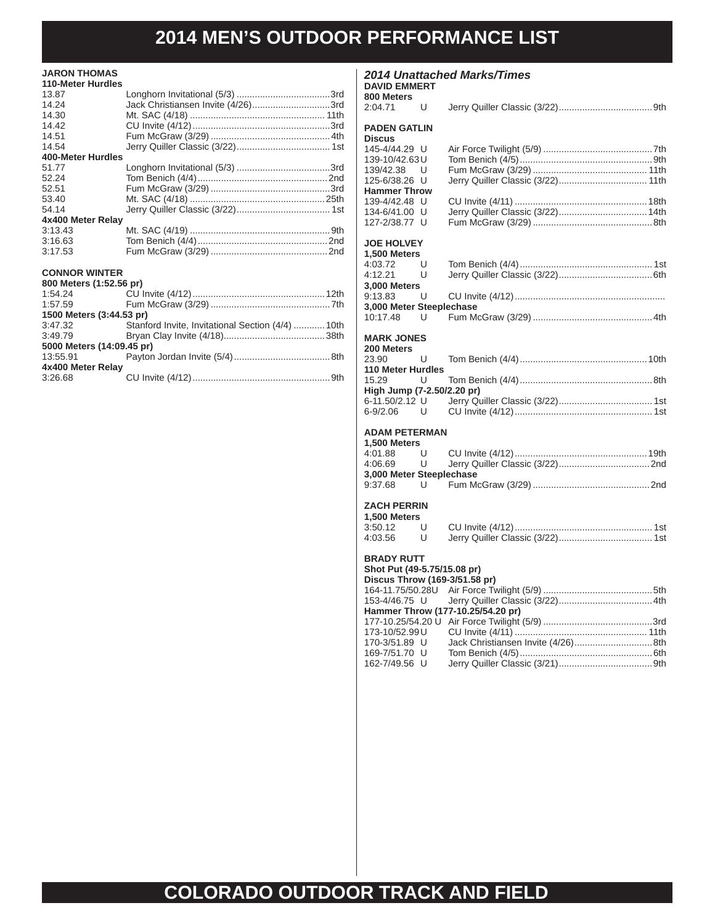### **JARON THOMAS**

| <b>110-Meter Hurdles</b> |                                    |  |
|--------------------------|------------------------------------|--|
| 13.87                    |                                    |  |
| 14.24                    | Jack Christiansen Invite (4/26)3rd |  |
| 14.30                    |                                    |  |
| 14.42                    |                                    |  |
| 14.51                    |                                    |  |
| 14.54                    |                                    |  |
| 400-Meter Hurdles        |                                    |  |
| 51.77                    |                                    |  |
| 52.24                    |                                    |  |
| 52.51                    |                                    |  |
| 53.40                    |                                    |  |
| 54.14                    |                                    |  |
| 4x400 Meter Relay        |                                    |  |
| 3:13.43                  |                                    |  |
| 3:16.63                  |                                    |  |
| 3:17.53                  |                                    |  |
| <b>CONNOR WINTER</b>     |                                    |  |
| 800 Meters (1:52.56 pr)  |                                    |  |
| 1:54.24                  |                                    |  |
| 1:57.59                  |                                    |  |

| 1500 Meters (3:44.53 pr)  |                                                  |  |
|---------------------------|--------------------------------------------------|--|
| 3:47.32                   | Stanford Invite, Invitational Section (4/4) 10th |  |
| 3:49.79                   |                                                  |  |
| 5000 Meters (14:09.45 pr) |                                                  |  |
| 13:55.91                  |                                                  |  |
| 4x400 Meter Relay         |                                                  |  |
| 3:26.68                   |                                                  |  |

### *2014 Unattached Marks/Times*

#### **DAVID EMMERT 800 Meters**

| 2:04.71                           | U      |                                   |
|-----------------------------------|--------|-----------------------------------|
| <b>PADEN GATLIN</b>               |        |                                   |
| <b>Discus</b><br>145-4/44.29 U    |        |                                   |
| 139-10/42.63U                     |        |                                   |
| 139/42.38                         | U      |                                   |
| 125-6/38.26 U                     |        |                                   |
| <b>Hammer Throw</b>               |        |                                   |
| 139-4/42.48 U                     |        |                                   |
| 134-6/41.00 U                     |        |                                   |
| 127-2/38.77 U                     |        |                                   |
| <b>JOE HOLVEY</b>                 |        |                                   |
| 1,500 Meters                      |        |                                   |
| 4:03.72                           | U      |                                   |
| 4:12.21                           | U      |                                   |
| 3,000 Meters<br>9:13.83           | U      |                                   |
| 3,000 Meter Steeplechase          |        |                                   |
| 10:17.48<br>- U                   |        |                                   |
|                                   |        |                                   |
| <b>MARK JONES</b>                 |        |                                   |
| 200 Meters                        |        |                                   |
| 23.90<br><b>110 Meter Hurdles</b> | U      |                                   |
| 15.29                             | U      |                                   |
| High Jump (7-2.50/2.20 pr)        |        |                                   |
| 6-11.50/2.12 U                    |        |                                   |
| $6 - 9/2.06$                      | U      |                                   |
|                                   |        |                                   |
| <b>ADAM PETERMAN</b>              |        |                                   |
| 1,500 Meters<br>4:01.88           | U      |                                   |
| 4:06.69                           | U      |                                   |
| 3,000 Meter Steeplechase          |        |                                   |
| 9:37.68                           | U      |                                   |
|                                   |        |                                   |
| <b>ZACH PERRIN</b>                |        |                                   |
| 1,500 Meters                      |        |                                   |
| 3:50.12                           | U<br>U |                                   |
| 4:03.56                           |        |                                   |
| <b>BRADY RUTT</b>                 |        |                                   |
| Shot Put (49-5.75/15.08 pr)       |        |                                   |
| Discus Throw (169-3/51.58 pr)     |        |                                   |
| 164-11.75/50.28U                  |        |                                   |
| 153-4/46.75 U                     |        |                                   |
|                                   |        | Hammer Throw (177-10.25/54.20 pr) |
| 173-10/52.99 U                    |        |                                   |
| 170-3/51.89 U                     |        |                                   |
| 169-7/51.70 U                     |        |                                   |
| 162-7/49.56 U                     |        |                                   |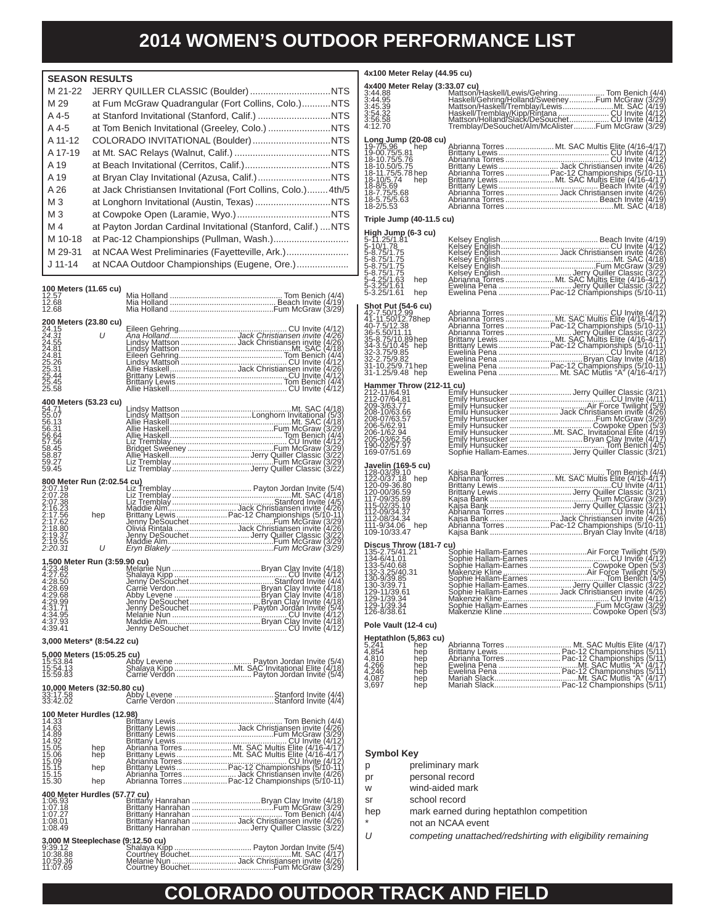**4x100 Meter Relay (44.95 cu)**

|                | <b>SEASON RESULTS</b>                                          |
|----------------|----------------------------------------------------------------|
| M 21-22        |                                                                |
| M 29           | at Fum McGraw Quadrangular (Fort Collins, Colo.)NTS            |
| A 4-5          |                                                                |
| A 4-5          |                                                                |
| A 11-12        |                                                                |
| A 17-19        |                                                                |
| A 19           |                                                                |
| A 19           |                                                                |
| A 26           | at Jack Christiansen Invitational (Fort Collins, Colo.) 4th/5  |
| M <sub>3</sub> |                                                                |
| M <sub>3</sub> |                                                                |
| M 4            | at Payton Jordan Cardinal Invitational (Stanford, Calif.)  NTS |
| M 10-18        |                                                                |
| M 29-31        | at NCAA West Preliminaries (Fayetteville, Ark.)                |
| $J$ 11-14      | at NCAA Outdoor Championships (Eugene, Ore.)                   |
|                |                                                                |

| 100 Meters (11.65 cu)<br>12.57<br>12.68<br>12.68                                                |                                                                                                                                                                                                                                                                           |  |
|-------------------------------------------------------------------------------------------------|---------------------------------------------------------------------------------------------------------------------------------------------------------------------------------------------------------------------------------------------------------------------------|--|
| <b>200 Meters (23.80 cu)</b><br>24.15<br>2 <i>4.31 U</i>                                        |                                                                                                                                                                                                                                                                           |  |
| 24.31<br>24.55<br>24.81<br>24.81<br>25.26<br>25.31<br>25.44<br>25.58                            |                                                                                                                                                                                                                                                                           |  |
| 400 Meters (53.23 cu)                                                                           |                                                                                                                                                                                                                                                                           |  |
| 400 M<br>54.71<br>55.07<br>56.13<br>56.31<br>56.64<br>57.56<br>58.45<br>58.87<br>59.27<br>59.45 |                                                                                                                                                                                                                                                                           |  |
|                                                                                                 |                                                                                                                                                                                                                                                                           |  |
|                                                                                                 | COMPARENT Run (2:02.54 cu)<br>2:07.19<br>2:07.19<br>2:07.19<br>2:07.28<br>2:07.28<br>2:16.23<br>2:16.23<br>2:16.23<br>2:16.23<br>2:18.89<br>2:17.62<br>2:18.89<br>2:17.62<br>2:18.87<br>2:19.55<br>2:19.55<br>2:19.55<br>2:19.55<br>2:19.55<br>2:19.55<br>2:19.55<br>2:19 |  |
|                                                                                                 |                                                                                                                                                                                                                                                                           |  |
|                                                                                                 | 4.30.37<br><b>1.59.90 cu)</b><br>4.27.62<br>4.28.50<br>4.28.50<br>4.28.50<br>4.28.50<br>4.28.50<br>4.28.50<br>4.31.95<br>4.39.49<br>Alphanie Nun<br>Alphanie Control Communication of the CM12<br>4.31.95<br>Alphanie Nun<br>Alphanie Nun<br>Alphanie Nun<br>Alphani      |  |
| 3,000 Meters* (8:54.22 cu)                                                                      |                                                                                                                                                                                                                                                                           |  |
| <b>5,000 Meters (15:05.25 cu)</b><br>15:53.84 Abb<br>15:54.13 Sha<br>15:59.83                   |                                                                                                                                                                                                                                                                           |  |
|                                                                                                 |                                                                                                                                                                                                                                                                           |  |
|                                                                                                 |                                                                                                                                                                                                                                                                           |  |
|                                                                                                 |                                                                                                                                                                                                                                                                           |  |
|                                                                                                 |                                                                                                                                                                                                                                                                           |  |
|                                                                                                 |                                                                                                                                                                                                                                                                           |  |
|                                                                                                 |                                                                                                                                                                                                                                                                           |  |
|                                                                                                 |                                                                                                                                                                                                                                                                           |  |

| <b>Long Jump (20-08 cu)</b><br>19-00 75/5 81 hep<br>19-00 75/5 81 hep<br>18-10 75/5 75<br>18-11 75/5 78<br>18-11 75/5 74 hep<br>18-8/5 69<br>18-8/5 69<br>18-75/56 68<br>18-7 75/5 68 |                                                                                                                                                                                                                                                                |  |
|---------------------------------------------------------------------------------------------------------------------------------------------------------------------------------------|----------------------------------------------------------------------------------------------------------------------------------------------------------------------------------------------------------------------------------------------------------------|--|
| Triple Jump (40-11.5 cu)                                                                                                                                                              |                                                                                                                                                                                                                                                                |  |
| <b>High Jump (6-3 cu)</b><br>5-11.25/1.81<br>5-10/1.78<br>5-8.75/1.75<br>5-8.75/1.75<br>5-8.75/1.75<br>5-8.75/1.75<br>5-4.25/1.63<br>5-3.25/1.63 hep<br>5-3.25/1.63 hep               |                                                                                                                                                                                                                                                                |  |
| Shot Put (54-6 cu)<br>44-7.50/12.99<br>41-11.50/12.78hep<br>40-7.5/12.38<br>30-5.75/10.89hep<br>33-3.75/0.49 hep<br>32-2.75/9.85<br>32-2.75/9.85<br>31-10.25/9.71 hep                 |                                                                                                                                                                                                                                                                |  |
|                                                                                                                                                                                       | 1.1.2.1.1/64.91<br>212-11/64.91<br>212-11/64.91<br>200-3/63.77<br>200-3/63.77<br>200-3/63.77<br>200-3/63.77<br>200-3/63.77<br>200-4/073<br>200-5/62.94<br>200-6/62.94<br>200-6/62.94<br>200-6/62.94<br>200-6/62.94<br>200-6/62.94<br>200-6/62.95<br>200-6/62.9 |  |
| <b>Javelin (169-5 cu)</b><br>122-03/39.10<br>122-037.18 hep<br>120-09-36 89<br>17-09/36.89<br>117-09/36.89<br>112-09/34.37<br>112-09/34.37<br>112-09/34.34<br>111-9/34.04 hep         |                                                                                                                                                                                                                                                                |  |
|                                                                                                                                                                                       |                                                                                                                                                                                                                                                                |  |

### **Pole Vault (12-4 cu)**

| Heptathlon (5,863 cu)      |                                              |  |
|----------------------------|----------------------------------------------|--|
| 5.241<br>hep               | Abrianna Torres  Mt. SAC Multis Elite (4/17) |  |
|                            | Brittany Lewis  Pac-12 Championships (5/11)  |  |
| $4,854$<br>$4,810$         |                                              |  |
| hep<br>hep<br>hep<br>4.266 |                                              |  |
| 4.246                      |                                              |  |
| $\frac{4,087}{3,697}$      |                                              |  |
| hep<br>hep<br>hep          | Mariah Slack Pac-12 Championships (5/11)     |  |

#### **Symbol Key**

- p preliminary mark
- pr personal record
- w wind-aided mark
- sr school record
- hep mark earned during heptathlon competition
	- not an NCAA event
- *U competing unattached/redshirting with eligibility remaining*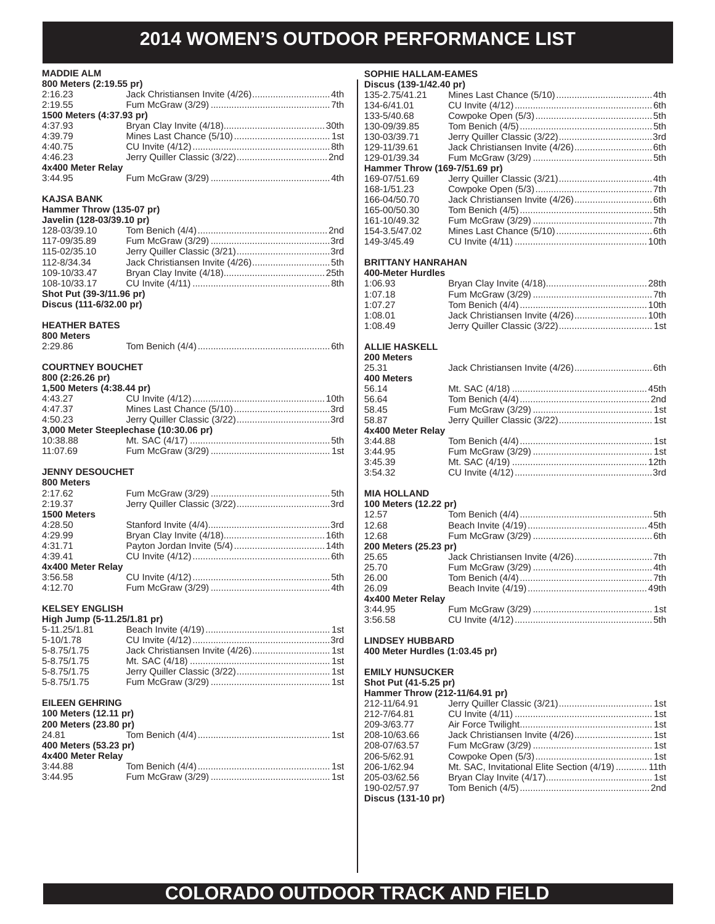### **MADDIE ALM**

| <b>MADDIE ALM</b>         |                                        |
|---------------------------|----------------------------------------|
| 800 Meters (2:19.55 pr)   |                                        |
| 2:16.23                   | Jack Christiansen Invite (4/26) 4th    |
| 2:19.55                   |                                        |
| 1500 Meters (4:37.93 pr)  |                                        |
| 4:37.93                   |                                        |
| 4:39.79                   |                                        |
| 4:40.75                   |                                        |
| 4:46.23                   |                                        |
| 4x400 Meter Relay         |                                        |
| 3:44.95                   |                                        |
| <b>KAJSA BANK</b>         |                                        |
| Hammer Throw (135-07 pr)  |                                        |
| Javelin (128-03/39.10 pr) |                                        |
| 128-03/39.10              |                                        |
| 117-09/35.89              |                                        |
| 115-02/35.10              |                                        |
| 112-8/34.34               |                                        |
| 109-10/33.47              |                                        |
| 108-10/33.17              |                                        |
| Shot Put (39-3/11.96 pr)  |                                        |
| Discus (111-6/32.00 pr)   |                                        |
| <b>HEATHER BATES</b>      |                                        |
| 800 Meters                |                                        |
| 2:29.86                   |                                        |
|                           |                                        |
| <b>COURTNEY BOUCHET</b>   |                                        |
| 800 (2:26.26 pr)          |                                        |
| 1,500 Meters (4:38.44 pr) |                                        |
| 4:43.27                   |                                        |
| 4:47.37                   |                                        |
| 4:50.23                   |                                        |
|                           | 3,000 Meter Steeplechase (10:30.06 pr) |
| 10:38.88                  |                                        |
| 11:07.69                  |                                        |
| <b>JENNY DESOUCHET</b>    |                                        |
| 800 Meters                |                                        |
| 2:17.62                   |                                        |
| 2:19.37                   |                                        |
| 1500 Meters               |                                        |
| 4:28.50                   |                                        |
| 4:29.99                   |                                        |
| 4:31.71                   |                                        |
| 4:39.41                   |                                        |
| 4x400 Meter Relay         |                                        |
| 3:56.58                   |                                        |
| 4:12.70                   |                                        |

### **KELSEY ENGLISH**

| High Jump (5-11.25/1.81 pr) |  |
|-----------------------------|--|
| 5-11.25/1.81                |  |
| 5-10/1.78                   |  |
| 5-8.75/1.75                 |  |
| 5-8.75/1.75                 |  |
| 5-8.75/1.75                 |  |
| 5-8.75/1.75                 |  |
|                             |  |

#### **EILEEN GEHRING**

| 100 Meters (12.11 pr) |  |  |  |
|-----------------------|--|--|--|
| 200 Meters (23.80 pr) |  |  |  |
|                       |  |  |  |
| 400 Meters (53.23 pr) |  |  |  |
| 4x400 Meter Relay     |  |  |  |
| 3:44.88               |  |  |  |
| 3:44.95               |  |  |  |

### **SOPHIE HALLAM-EAMES**

| Discus (139-1/42.40 pr)       |                                      |  |
|-------------------------------|--------------------------------------|--|
| 135-2.75/41.21                |                                      |  |
| 134-6/41.01                   |                                      |  |
| 133-5/40.68                   |                                      |  |
| 130-09/39.85                  |                                      |  |
| 130-03/39.71                  |                                      |  |
| 129-11/39.61                  |                                      |  |
| 129-01/39.34                  |                                      |  |
| Hammer Throw (169-7/51.69 pr) |                                      |  |
| 169-07/51.69                  |                                      |  |
| 168-1/51.23                   |                                      |  |
| 166-04/50.70                  |                                      |  |
| 165-00/50.30                  |                                      |  |
| 161-10/49.32                  |                                      |  |
| 154-3.5/47.02                 |                                      |  |
| 149-3/45.49                   |                                      |  |
| <b>BRITTANY HANRAHAN</b>      |                                      |  |
| 400-Meter Hurdles             |                                      |  |
| 1:06.93                       |                                      |  |
| 1:07.18                       |                                      |  |
| 1:07.27                       |                                      |  |
| 1:08.01                       | Jack Christiansen Invite (4/26) 10th |  |
| 1:08.49                       |                                      |  |

### **ALLIE HASKELL**

| 200 Meters        |  |
|-------------------|--|
| 25.31             |  |
| 400 Meters        |  |
| 56.14             |  |
| 56.64             |  |
| 58.45             |  |
| 58.87             |  |
| 4x400 Meter Relay |  |
| 3:44.88           |  |
| 3:44.95           |  |
| 3:45.39           |  |
| 3:54.32           |  |
|                   |  |

#### **MIA HOLLAND**

| 100 Meters (12.22 pr) |  |
|-----------------------|--|
|                       |  |
|                       |  |
|                       |  |
| 200 Meters (25.23 pr) |  |
|                       |  |
|                       |  |
|                       |  |
|                       |  |
| 4x400 Meter Relay     |  |
|                       |  |
|                       |  |
|                       |  |

#### **LINDSEY HUBBARD 400 Meter Hurdles (1:03.45 pr)**

**EMILY HUNSUCKER**

### **Shot Put (41-5.25 pr)**

| Hammer Throw (212-11/64.91 pr) |                                                  |  |
|--------------------------------|--------------------------------------------------|--|
| 212-11/64.91                   |                                                  |  |
| 212-7/64.81                    |                                                  |  |
| 209-3/63.77                    |                                                  |  |
| 208-10/63.66                   |                                                  |  |
| 208-07/63.57                   |                                                  |  |
| 206-5/62.91                    |                                                  |  |
| 206-1/62.94                    | Mt. SAC, Invitational Elite Section (4/19)  11th |  |
| 205-03/62.56                   |                                                  |  |
| 190-02/57.97                   |                                                  |  |
| Discus (131-10 pr)             |                                                  |  |
|                                |                                                  |  |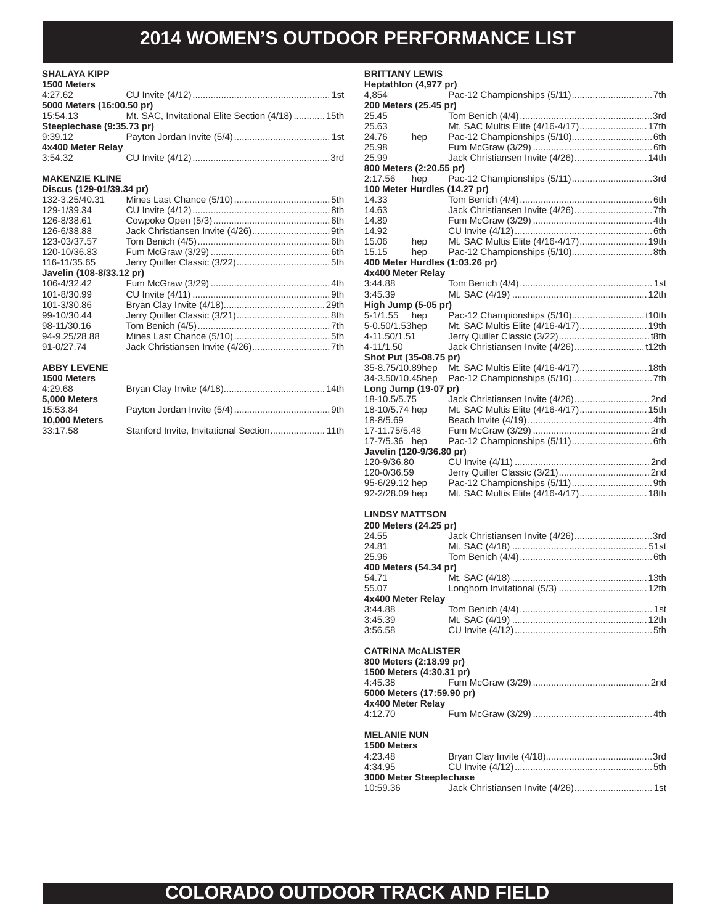#### **SHALAYA KIPP 1500 Meters**

| <b>TOU METERS</b>         |                                                           |  |
|---------------------------|-----------------------------------------------------------|--|
|                           |                                                           |  |
| 5000 Meters (16:00.50 pr) |                                                           |  |
|                           | 15:54.13 Mt. SAC, Invitational Elite Section (4/18)  15th |  |
| Steeplechase (9:35.73 pr) |                                                           |  |
|                           |                                                           |  |
| 4x400 Meter Relay         |                                                           |  |
| 3:54.32                   |                                                           |  |
|                           |                                                           |  |

### **MAKENZIE KLINE**

| Discus (129-01/39.34 pr) |  |
|--------------------------|--|
| 132-3.25/40.31           |  |
| 129-1/39.34              |  |
| 126-8/38.61              |  |
| 126-6/38.88              |  |
| 123-03/37.57             |  |
| 120-10/36.83             |  |
| 116-11/35.65             |  |
| Javelin (108-8/33.12 pr) |  |
| 106-4/32.42              |  |
| 101-8/30.99              |  |
| 101-3/30.86              |  |
| 99-10/30.44              |  |
| 98-11/30.16              |  |
| 94-9.25/28.88            |  |
| 91-0/27.74               |  |
|                          |  |

### **ABBY LEVENE**

| <b>BRITTANY LEWIS</b>          |                                       |  |
|--------------------------------|---------------------------------------|--|
| Heptathlon (4,977 pr)          |                                       |  |
| 4,854                          |                                       |  |
| 200 Meters (25.45 pr)          |                                       |  |
| 25.45                          |                                       |  |
| 25.63                          | Mt. SAC Multis Elite (4/16-4/17) 17th |  |
| 24.76<br>hep                   |                                       |  |
| 25.98                          | Jack Christiansen Invite (4/26) 14th  |  |
| 25.99                          |                                       |  |
| 800 Meters (2:20.55 pr)        |                                       |  |
| 2:17.56<br>hep                 | Pac-12 Championships (5/11)3rd        |  |
| 100 Meter Hurdles (14.27 pr)   |                                       |  |
| 14.33                          |                                       |  |
| 14.63                          |                                       |  |
| 14.89                          |                                       |  |
| 14.92                          |                                       |  |
| 15.06<br>hep                   | Mt. SAC Multis Elite (4/16-4/17) 19th |  |
| 15.15<br>hep                   |                                       |  |
| 400 Meter Hurdles (1:03.26 pr) |                                       |  |
| 4x400 Meter Relay              |                                       |  |
| 3:44.88                        |                                       |  |
| 3:45.39                        |                                       |  |
| High Jump (5-05 pr)            |                                       |  |
| 5-1/1.55<br>hep                |                                       |  |
| 5-0.50/1.53hep                 | Mt. SAC Multis Elite (4/16-4/17) 19th |  |
| 4-11.50/1.51                   |                                       |  |
| 4-11/1.50                      |                                       |  |
| Shot Put (35-08.75 pr)         |                                       |  |
| 35-8.75/10.89hep               | Mt. SAC Multis Elite (4/16-4/17) 18th |  |
| 34-3.50/10.45hep               |                                       |  |
| Long Jump (19-07 pr)           |                                       |  |
| 18-10.5/5.75                   |                                       |  |
| 18-10/5.74 hep                 | Mt. SAC Multis Elite (4/16-4/17) 15th |  |
| 18-8/5.69                      |                                       |  |
| 17-11.75/5.48                  |                                       |  |
| 17-7/5.36 hep                  |                                       |  |
| Javelin (120-9/36.80 pr)       |                                       |  |
| 120-9/36.80                    |                                       |  |
| 120-0/36.59                    |                                       |  |
| 95-6/29.12 hep                 |                                       |  |
|                                | Mt. SAC Multis Elite (4/16-4/17) 18th |  |
| 92-2/28.09 hep                 |                                       |  |
| <b>LINDSY MATTSON</b>          |                                       |  |
|                                |                                       |  |
| 200 Meters (24.25 pr)          |                                       |  |
| 24.55                          | Jack Christiansen Invite (4/26)3rd    |  |
| 24.81                          |                                       |  |
| 25.96                          |                                       |  |
| 400 Meters (54.34 pr)          |                                       |  |
| 54.71                          |                                       |  |
| 55.07                          |                                       |  |
| 4x400 Meter Relay              |                                       |  |
| 3:44.88                        |                                       |  |
| 3:45.39                        |                                       |  |

#### **CATRINA McALISTER**

| 800 Meters (2:18.99 pr)<br>1500 Meters (4:30.31 pr) |  |
|-----------------------------------------------------|--|
|                                                     |  |
| 5000 Meters (17:59.90 pr)<br>4x400 Meter Relay      |  |
| 4:12.70                                             |  |
| <b>MELANIE NUN</b><br><b>AEOO Maters</b>            |  |

3:56.58 CU Invite (4/12) .....................................................5th

| 1500 Meters             |  |
|-------------------------|--|
| 4:23.48                 |  |
| 4:34.95                 |  |
| 3000 Meter Steeplechase |  |
| 10:59.36                |  |
|                         |  |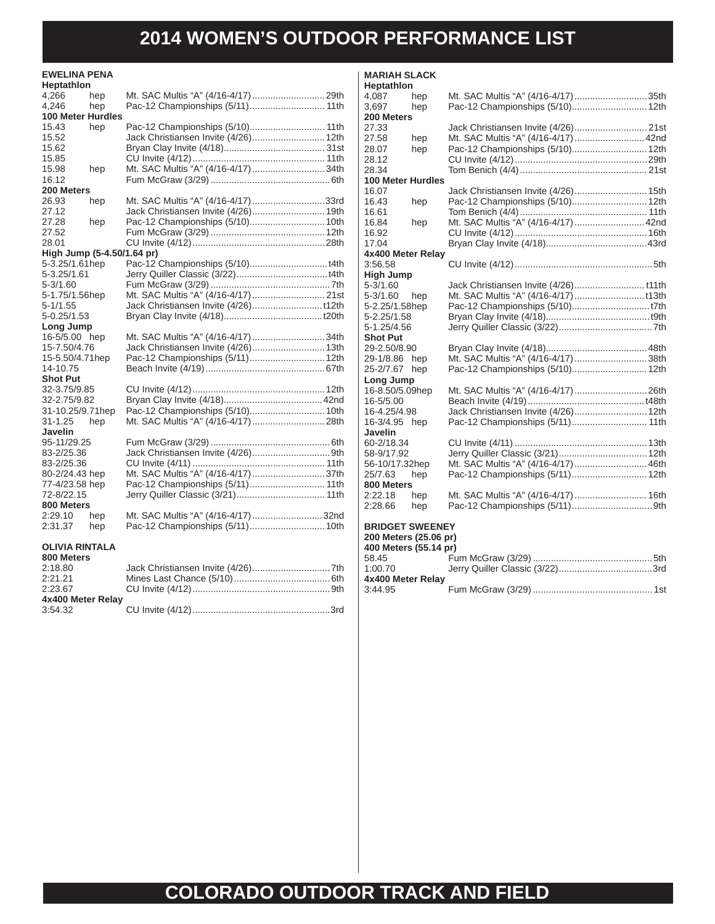| <b>EWELINA PENA</b><br><b>Heptathlon</b> |                                      |  |
|------------------------------------------|--------------------------------------|--|
| 4,266<br>hep                             |                                      |  |
| 4,246<br>hep                             | Pac-12 Championships (5/11) 11th     |  |
| <b>100 Meter Hurdles</b>                 |                                      |  |
| 15.43<br>hep                             |                                      |  |
| 15.52                                    | Jack Christiansen Invite (4/26) 12th |  |
| 15.62                                    |                                      |  |
| 15.85                                    |                                      |  |
| 15.98<br>hep                             | Mt. SAC Multis "A" (4/16-4/17) 34th  |  |
| 16.12                                    |                                      |  |
| <b>200 Meters</b>                        |                                      |  |
| 26.93<br>hep                             | Mt. SAC Multis "A" (4/16-4/17) 33rd  |  |
| 27.12                                    | Jack Christiansen Invite (4/26) 19th |  |
| 27.28<br>hep                             |                                      |  |
| 27.52                                    |                                      |  |
| 28.01                                    |                                      |  |
| High Jump (5-4.50/1.64 pr)               |                                      |  |
| 5-3.25/1.61hep                           |                                      |  |
| 5-3.25/1.61                              |                                      |  |
| 5-3/1.60                                 |                                      |  |
| 5-1.75/1.56hep                           |                                      |  |
| 5-1/1.55                                 |                                      |  |
| 5-0.25/1.53                              |                                      |  |
| Long Jump                                |                                      |  |
| 16-5/5.00 hep                            | Mt. SAC Multis "A" (4/16-4/17) 34th  |  |
| 15-7.50/4.76                             | Jack Christiansen Invite (4/26) 13th |  |
| 15-5.50/4.71hep                          | Pac-12 Championships (5/11) 12th     |  |
| 14-10.75                                 |                                      |  |
| <b>Shot Put</b>                          |                                      |  |
| 32-3.75/9.85                             |                                      |  |
| 32-2.75/9.82                             |                                      |  |
| 31-10.25/9.71hep                         |                                      |  |
| $31 - 1.25$<br>hep                       |                                      |  |
| Javelin                                  |                                      |  |
| 95-11/29.25                              |                                      |  |
| 83-2/25.36                               |                                      |  |
| 83-2/25.36                               |                                      |  |
| 80-2/24.43 hep                           | Mt. SAC Multis "A" (4/16-4/17)37th   |  |
| 77-4/23.58 hep                           |                                      |  |
| 72-8/22.15                               |                                      |  |
| 800 Meters                               |                                      |  |
| 2:29.10<br>hep                           | Mt. SAC Multis "A" (4/16-4/17) 32nd  |  |
| 2:31.37<br>hep                           | Pac-12 Championships (5/11) 10th     |  |
|                                          |                                      |  |
| <b>OLIVIA RINTALA</b>                    |                                      |  |
| 800 Meters                               |                                      |  |

| 2:18.80           |  |
|-------------------|--|
| 2:21.21           |  |
| 2:23.67           |  |
| 4x400 Meter Relay |  |
| 3.54.32           |  |

| <b>MARIAH SLACK</b><br>Heptathlon                                        |     |                                       |  |
|--------------------------------------------------------------------------|-----|---------------------------------------|--|
| 4,087                                                                    | hep | Mt. SAC Multis "A" (4/16-4/17)35th    |  |
| 3,697                                                                    | hep | Pac-12 Championships (5/10) 12th      |  |
| 200 Meters                                                               |     |                                       |  |
| 27.33                                                                    |     |                                       |  |
| 27.58                                                                    | hep | Mt. SAC Multis "A" (4/16-4/17)  42nd  |  |
| 28.07                                                                    | hep | Pac-12 Championships (5/10) 12th      |  |
| 28.12                                                                    |     |                                       |  |
| 28.34                                                                    |     |                                       |  |
| <b>100 Meter Hurdles</b>                                                 |     |                                       |  |
| 16.07                                                                    |     |                                       |  |
| 16.43                                                                    | hep | Pac-12 Championships (5/10) 12th      |  |
| 16.61                                                                    |     |                                       |  |
| 16.84                                                                    | hep | Mt. SAC Multis "A" (4/16-4/17)  42nd  |  |
| 16.92                                                                    |     |                                       |  |
| 17.04                                                                    |     |                                       |  |
| 4x400 Meter Relay                                                        |     |                                       |  |
| 3:56.58                                                                  |     |                                       |  |
| <b>High Jump</b>                                                         |     |                                       |  |
| 5-3/1.60                                                                 |     | Jack Christiansen Invite (4/26) t11th |  |
| $5 - 3/1.60$                                                             | hep |                                       |  |
| 5-2.25/1.58hep                                                           |     |                                       |  |
| 5-2.25/1.58                                                              |     |                                       |  |
| 5-1.25/4.56                                                              |     |                                       |  |
| <b>Shot Put</b>                                                          |     |                                       |  |
| 29-2.50/8.90                                                             |     |                                       |  |
| 29-1/8.86                                                                | hep | Mt. SAC Multis "A" (4/16-4/17)38th    |  |
| 25-2/7.67                                                                | hep | Pac-12 Championships (5/10) 12th      |  |
| Long Jump                                                                |     |                                       |  |
| 16-8.50/5.09hep                                                          |     |                                       |  |
| 16-5/5.00                                                                |     |                                       |  |
| 16-4.25/4.98                                                             |     | Jack Christiansen Invite (4/26) 12th  |  |
| 16-3/4.95                                                                | hep | Pac-12 Championships (5/11) 11th      |  |
| <b>Javelin</b>                                                           |     |                                       |  |
| 60-2/18.34                                                               |     |                                       |  |
| 58-9/17.92                                                               |     |                                       |  |
| 56-10/17.32hep                                                           |     | Mt. SAC Multis "A" (4/16-4/17)  46th  |  |
| 25/7.63                                                                  | hep | Pac-12 Championships (5/11) 12th      |  |
| 800 Meters                                                               |     |                                       |  |
| 2:22.18                                                                  | hep | Mt. SAC Multis "A" (4/16-4/17) 16th   |  |
| 2:28.66                                                                  | hep |                                       |  |
| <b>BRIDGET SWEENEY</b><br>200 Meters (25.06 pr)<br>400 Meters (55.14 pr) |     |                                       |  |

| 400 Meters (55.14 pr) |  |
|-----------------------|--|
| 58.45                 |  |
| 1:00.70               |  |
| 4x400 Meter Relay     |  |
| 3:44.95               |  |